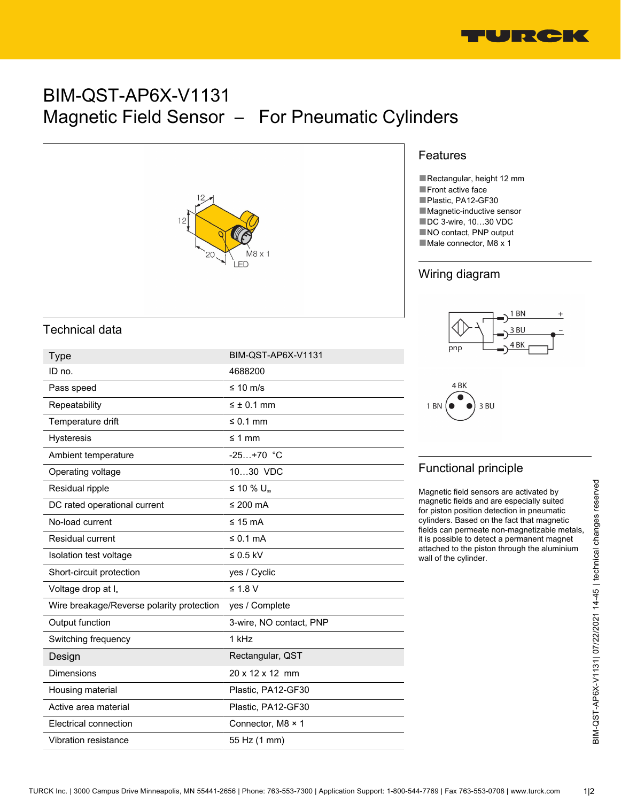

# BIM-QST-AP6X-V1131 Magnetic Field Sensor – For Pneumatic Cylinders



#### Features

■Rectangular, height 12 mm ■Front active face ■Plastic, PA12-GF30 ■ Magnetic-inductive sensor ■DC 3-wire, 10...30 VDC ■NO contact, PNP output ■Male connector, M8 x 1

### Wiring diagram





# Functional principle

### Technical data

| <b>Type</b>                               | BIM-QST-AP6X-V1131          |                                                                                                                                                                                                                                                                                                                                                                                                                                       |
|-------------------------------------------|-----------------------------|---------------------------------------------------------------------------------------------------------------------------------------------------------------------------------------------------------------------------------------------------------------------------------------------------------------------------------------------------------------------------------------------------------------------------------------|
| ID no.                                    | 4688200                     | 4 <sub>BK</sub><br>3 BU<br>1 <sub>BN</sub><br><b>Functional principle</b><br>Magnetic field sensors are activated by<br>magnetic fields and are especially suited<br>for piston position detection in pneumatic<br>cylinders. Based on the fact that magnetic<br>fields can permeate non-magnetizable metals,<br>it is possible to detect a permanent magnet<br>attached to the piston through the aluminium<br>wall of the cylinder. |
| Pass speed                                | ≤ 10 m/s                    |                                                                                                                                                                                                                                                                                                                                                                                                                                       |
| Repeatability                             | $\leq \pm 0.1$ mm           |                                                                                                                                                                                                                                                                                                                                                                                                                                       |
| Temperature drift                         | $\leq 0.1$ mm               |                                                                                                                                                                                                                                                                                                                                                                                                                                       |
| <b>Hysteresis</b>                         | $\leq 1$ mm                 |                                                                                                                                                                                                                                                                                                                                                                                                                                       |
| Ambient temperature                       | $-25+70$ °C                 |                                                                                                                                                                                                                                                                                                                                                                                                                                       |
| Operating voltage                         | 1030 VDC                    |                                                                                                                                                                                                                                                                                                                                                                                                                                       |
| Residual ripple                           | $\leq$ 10 % U <sub>ss</sub> |                                                                                                                                                                                                                                                                                                                                                                                                                                       |
| DC rated operational current              | ≤ 200 $mA$                  |                                                                                                                                                                                                                                                                                                                                                                                                                                       |
| No-load current                           | $\leq 15$ mA                |                                                                                                                                                                                                                                                                                                                                                                                                                                       |
| Residual current                          | ≤ 0.1 mA                    |                                                                                                                                                                                                                                                                                                                                                                                                                                       |
| Isolation test voltage                    | $\leq 0.5$ kV               |                                                                                                                                                                                                                                                                                                                                                                                                                                       |
| Short-circuit protection                  | yes / Cyclic                |                                                                                                                                                                                                                                                                                                                                                                                                                                       |
| Voltage drop at I <sub>e</sub>            | $≤ 1.8 V$                   |                                                                                                                                                                                                                                                                                                                                                                                                                                       |
| Wire breakage/Reverse polarity protection | yes / Complete              |                                                                                                                                                                                                                                                                                                                                                                                                                                       |
| Output function                           | 3-wire, NO contact, PNP     |                                                                                                                                                                                                                                                                                                                                                                                                                                       |
| Switching frequency                       | 1 kHz                       |                                                                                                                                                                                                                                                                                                                                                                                                                                       |
| Design                                    | Rectangular, QST            |                                                                                                                                                                                                                                                                                                                                                                                                                                       |
| <b>Dimensions</b>                         | 20 x 12 x 12 mm             |                                                                                                                                                                                                                                                                                                                                                                                                                                       |
| Housing material                          | Plastic, PA12-GF30          |                                                                                                                                                                                                                                                                                                                                                                                                                                       |
| Active area material                      | Plastic, PA12-GF30          |                                                                                                                                                                                                                                                                                                                                                                                                                                       |
| Electrical connection                     | Connector, M8 × 1           |                                                                                                                                                                                                                                                                                                                                                                                                                                       |
| Vibration resistance                      | 55 Hz (1 mm)                |                                                                                                                                                                                                                                                                                                                                                                                                                                       |